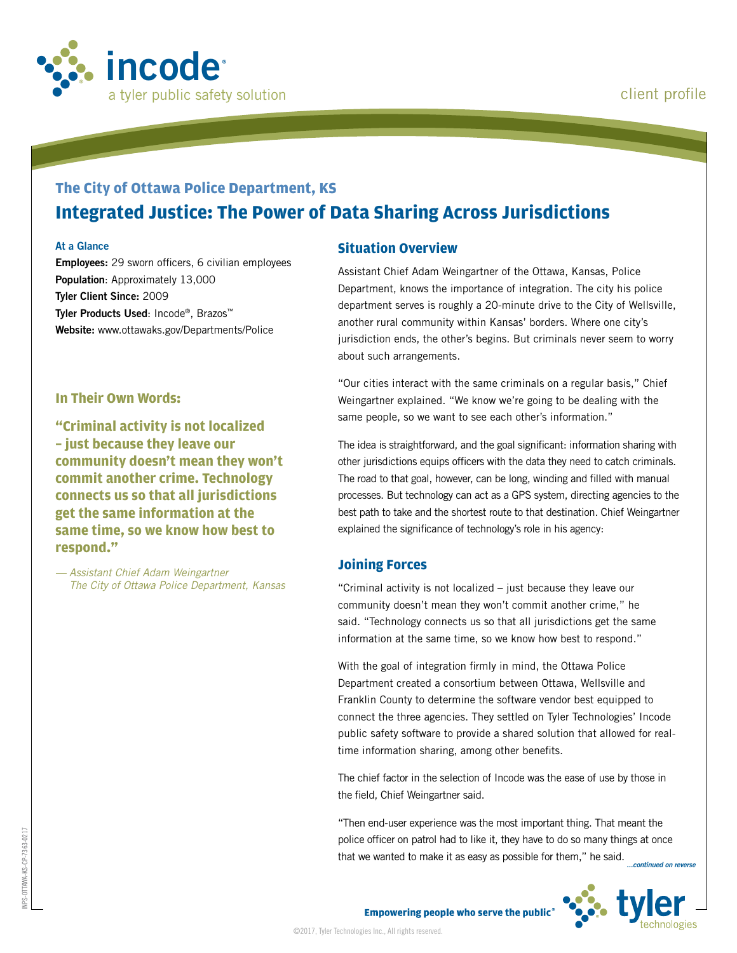

# **The City of Ottawa Police Department, KS Integrated Justice: The Power of Data Sharing Across Jurisdictions**

#### **At a Glance**

**Employees:** 29 sworn officers, 6 civilian employees **Population**: Approximately 13,000 **Tyler Client Since:** 2009 **Tyler Products Used**: Incode®, Brazos™ **Website:** www.ottawaks.gov/Departments/Police

#### **In Their Own Words:**

**"Criminal activity is not localized – just because they leave our community doesn't mean they won't commit another crime. Technology connects us so that all jurisdictions get the same information at the same time, so we know how best to respond."**

*— Assistant Chief Adam Weingartner The City of Ottawa Police Department, Kansas*

#### **Situation Overview**

Assistant Chief Adam Weingartner of the Ottawa, Kansas, Police Department, knows the importance of integration. The city his police department serves is roughly a 20-minute drive to the City of Wellsville, another rural community within Kansas' borders. Where one city's jurisdiction ends, the other's begins. But criminals never seem to worry about such arrangements.

"Our cities interact with the same criminals on a regular basis," Chief Weingartner explained. "We know we're going to be dealing with the same people, so we want to see each other's information."

The idea is straightforward, and the goal significant: information sharing with other jurisdictions equips officers with the data they need to catch criminals. The road to that goal, however, can be long, winding and filled with manual processes. But technology can act as a GPS system, directing agencies to the best path to take and the shortest route to that destination. Chief Weingartner explained the significance of technology's role in his agency:

#### **Joining Forces**

©2017, Tyler Technologies Inc., All rights reserved.

"Criminal activity is not localized – just because they leave our community doesn't mean they won't commit another crime," he said. "Technology connects us so that all jurisdictions get the same information at the same time, so we know how best to respond."

With the goal of integration firmly in mind, the Ottawa Police Department created a consortium between Ottawa, Wellsville and Franklin County to determine the software vendor best equipped to connect the three agencies. They settled on Tyler Technologies' Incode public safety software to provide a shared solution that allowed for realtime information sharing, among other benefits.

The chief factor in the selection of Incode was the ease of use by those in the field, Chief Weingartner said.

"Then end-user experience was the most important thing. That meant the police officer on patrol had to like it, they have to do so many things at once that we wanted to make it as easy as possible for them," he said. *...continued on reverse*



INPS-OTTAWA-KS-CP-7363-0217

OTTAWA-

KS-CP-7363-0217